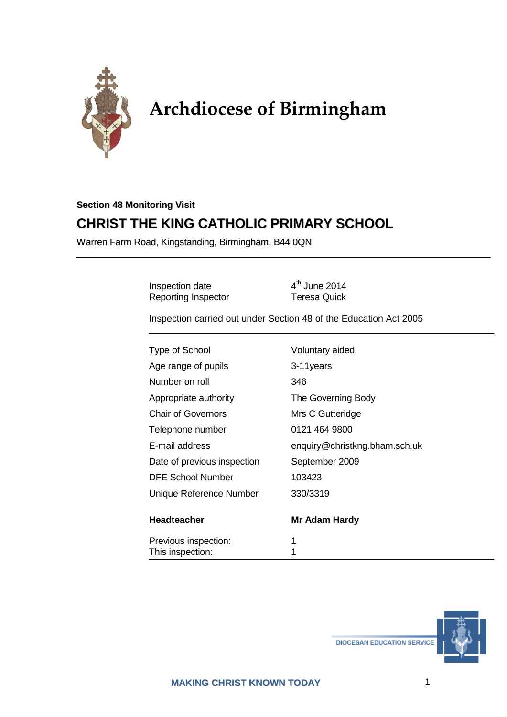

# **Archdiocese of Birmingham**

# **Section 48 Monitoring Visit CHRIST THE KING CATHOLIC PRIMARY SCHOOL**

Warren Farm Road, Kingstanding, Birmingham, B44 0QN

Inspection date  $4^{\text{th}}$  June 2014<br>
Reporting Inspector Teresa Quick Reporting Inspector

Inspection carried out under Section 48 of the Education Act 2005

| <b>Type of School</b>       | Voluntary aided               |
|-----------------------------|-------------------------------|
| Age range of pupils         | 3-11years                     |
| Number on roll              | 346                           |
| Appropriate authority       | The Governing Body            |
| <b>Chair of Governors</b>   | Mrs C Gutteridge              |
| Telephone number            | 0121 464 9800                 |
| E-mail address              | enquiry@christkng.bham.sch.uk |
| Date of previous inspection | September 2009                |
| <b>DFE School Number</b>    | 103423                        |
| Unique Reference Number     | 330/3319                      |
| Headteacher                 | Mr Adam Hardy                 |
| Previous inspection:        | 1                             |
| This inspection:            | 1                             |



**DIOCESAN EDUCATION SERVICE**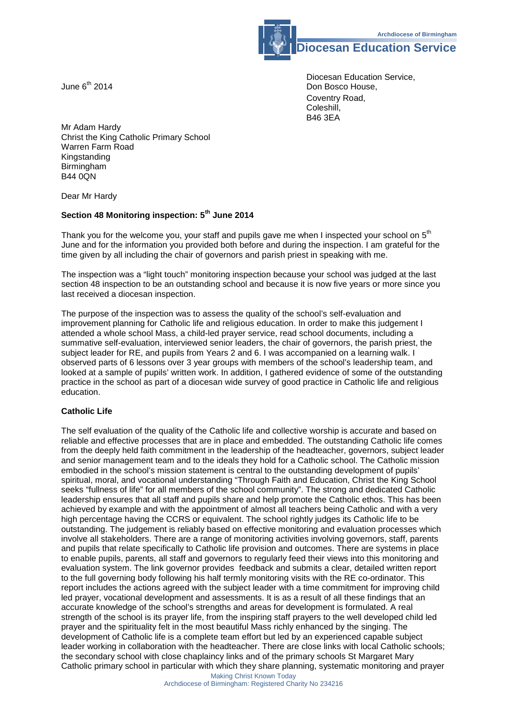**Diocesan Education Service**

Diocesan Education Service, June 6<sup>th</sup> 2014 **Don Bosco House**, Coventry Road, Coleshill, B46 3EA

Mr Adam Hardy Christ the King Catholic Primary School Warren Farm Road Kingstanding Birmingham B44 0QN

Dear Mr Hardy

### **Section 48 Monitoring inspection: 5th June 2014**

Thank you for the welcome you, your staff and pupils gave me when I inspected your school on 5<sup>th</sup> June and for the information you provided both before and during the inspection. I am grateful for the time given by all including the chair of governors and parish priest in speaking with me.

The inspection was a "light touch" monitoring inspection because your school was judged at the last section 48 inspection to be an outstanding school and because it is now five years or more since you last received a diocesan inspection.

The purpose of the inspection was to assess the quality of the school's self-evaluation and improvement planning for Catholic life and religious education. In order to make this judgement I attended a whole school Mass, a child-led prayer service, read school documents, including a summative self-evaluation, interviewed senior leaders, the chair of governors, the parish priest, the subject leader for RE, and pupils from Years 2 and 6. I was accompanied on a learning walk. I observed parts of 6 lessons over 3 year groups with members of the school's leadership team, and looked at a sample of pupils' written work. In addition, I gathered evidence of some of the outstanding practice in the school as part of a diocesan wide survey of good practice in Catholic life and religious education.

#### **Catholic Life**

The self evaluation of the quality of the Catholic life and collective worship is accurate and based on reliable and effective processes that are in place and embedded. The outstanding Catholic life comes from the deeply held faith commitment in the leadership of the headteacher, governors, subject leader and senior management team and to the ideals they hold for a Catholic school. The Catholic mission embodied in the school's mission statement is central to the outstanding development of pupils' spiritual, moral, and vocational understanding "Through Faith and Education, Christ the King School seeks "fullness of life" for all members of the school community". The strong and dedicated Catholic leadership ensures that all staff and pupils share and help promote the Catholic ethos. This has been achieved by example and with the appointment of almost all teachers being Catholic and with a very high percentage having the CCRS or equivalent. The school rightly judges its Catholic life to be outstanding. The judgement is reliably based on effective monitoring and evaluation processes which involve all stakeholders. There are a range of monitoring activities involving governors, staff, parents and pupils that relate specifically to Catholic life provision and outcomes. There are systems in place to enable pupils, parents, all staff and governors to regularly feed their views into this monitoring and evaluation system. The link governor provides feedback and submits a clear, detailed written report to the full governing body following his half termly monitoring visits with the RE co-ordinator. This report includes the actions agreed with the subject leader with a time commitment for improving child led prayer, vocational development and assessments. It is as a result of all these findings that an accurate knowledge of the school's strengths and areas for development is formulated. A real strength of the school is its prayer life, from the inspiring staff prayers to the well developed child led prayer and the spirituality felt in the most beautiful Mass richly enhanced by the singing. The development of Catholic life is a complete team effort but led by an experienced capable subject leader working in collaboration with the headteacher. There are close links with local Catholic schools; the secondary school with close chaplaincy links and of the primary schools St Margaret Mary Catholic primary school in particular with which they share planning, systematic monitoring and prayer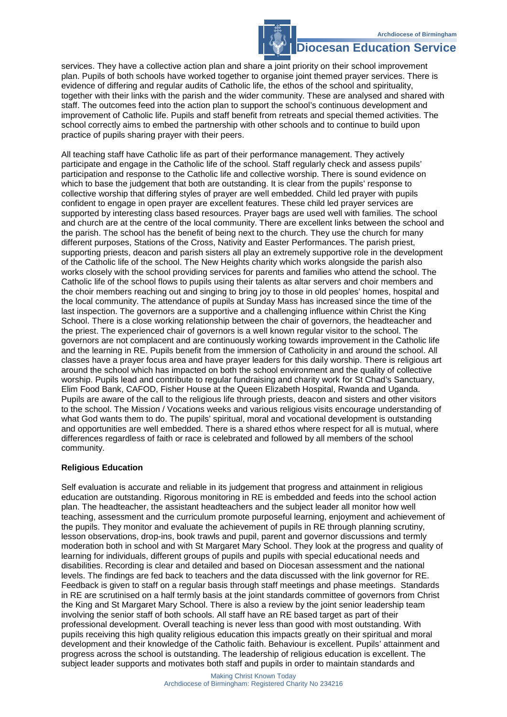## **Diocesan Education Service**

services. They have a collective action plan and share a joint priority on their school improvement plan. Pupils of both schools have worked together to organise joint themed prayer services. There is evidence of differing and regular audits of Catholic life, the ethos of the school and spirituality, together with their links with the parish and the wider community. These are analysed and shared with staff. The outcomes feed into the action plan to support the school's continuous development and improvement of Catholic life. Pupils and staff benefit from retreats and special themed activities. The school correctly aims to embed the partnership with other schools and to continue to build upon practice of pupils sharing prayer with their peers.

All teaching staff have Catholic life as part of their performance management. They actively participate and engage in the Catholic life of the school. Staff regularly check and assess pupils' participation and response to the Catholic life and collective worship. There is sound evidence on which to base the judgement that both are outstanding. It is clear from the pupils' response to collective worship that differing styles of prayer are well embedded. Child led prayer with pupils confident to engage in open prayer are excellent features. These child led prayer services are supported by interesting class based resources. Prayer bags are used well with families. The school and church are at the centre of the local community. There are excellent links between the school and the parish. The school has the benefit of being next to the church. They use the church for many different purposes, Stations of the Cross, Nativity and Easter Performances. The parish priest, supporting priests, deacon and parish sisters all play an extremely supportive role in the development of the Catholic life of the school. The New Heights charity which works alongside the parish also works closely with the school providing services for parents and families who attend the school. The Catholic life of the school flows to pupils using their talents as altar servers and choir members and the choir members reaching out and singing to bring joy to those in old peoples' homes, hospital and the local community. The attendance of pupils at Sunday Mass has increased since the time of the last inspection. The governors are a supportive and a challenging influence within Christ the King School. There is a close working relationship between the chair of governors, the headteacher and the priest. The experienced chair of governors is a well known regular visitor to the school. The governors are not complacent and are continuously working towards improvement in the Catholic life and the learning in RE. Pupils benefit from the immersion of Catholicity in and around the school. All classes have a prayer focus area and have prayer leaders for this daily worship. There is religious art around the school which has impacted on both the school environment and the quality of collective worship. Pupils lead and contribute to regular fundraising and charity work for St Chad's Sanctuary, Elim Food Bank, CAFOD, Fisher House at the Queen Elizabeth Hospital, Rwanda and Uganda. Pupils are aware of the call to the religious life through priests, deacon and sisters and other visitors to the school. The Mission / Vocations weeks and various religious visits encourage understanding of what God wants them to do. The pupils' spiritual, moral and vocational development is outstanding and opportunities are well embedded. There is a shared ethos where respect for all is mutual, where differences regardless of faith or race is celebrated and followed by all members of the school community.

#### **Religious Education**

Self evaluation is accurate and reliable in its judgement that progress and attainment in religious education are outstanding. Rigorous monitoring in RE is embedded and feeds into the school action plan. The headteacher, the assistant headteachers and the subject leader all monitor how well teaching, assessment and the curriculum promote purposeful learning, enjoyment and achievement of the pupils. They monitor and evaluate the achievement of pupils in RE through planning scrutiny, lesson observations, drop-ins, book trawls and pupil, parent and governor discussions and termly moderation both in school and with St Margaret Mary School. They look at the progress and quality of learning for individuals, different groups of pupils and pupils with special educational needs and disabilities. Recording is clear and detailed and based on Diocesan assessment and the national levels. The findings are fed back to teachers and the data discussed with the link governor for RE. Feedback is given to staff on a regular basis through staff meetings and phase meetings. Standards in RE are scrutinised on a half termly basis at the joint standards committee of governors from Christ the King and St Margaret Mary School. There is also a review by the joint senior leadership team involving the senior staff of both schools. All staff have an RE based target as part of their professional development. Overall teaching is never less than good with most outstanding. With pupils receiving this high quality religious education this impacts greatly on their spiritual and moral development and their knowledge of the Catholic faith. Behaviour is excellent. Pupils' attainment and progress across the school is outstanding. The leadership of religious education is excellent. The subject leader supports and motivates both staff and pupils in order to maintain standards and